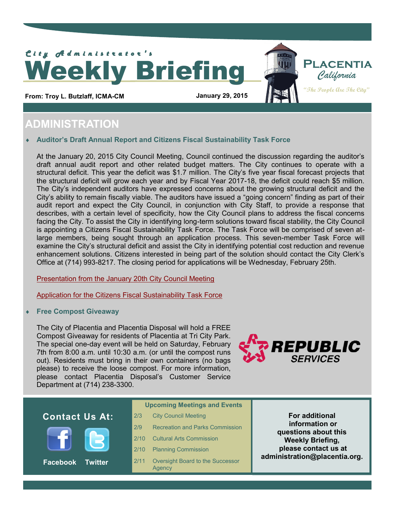

From: Troy L. Butzlaff, ICMA-CM **January 29, 2015** 

## **ADMINISTRATION**

### **Auditor's Draft Annual Report and Citizens Fiscal Sustainability Task Force**

At the January 20, 2015 City Council Meeting, Council continued the discussion regarding the auditor's draft annual audit report and other related budget matters. The City continues to operate with a structural deficit. This year the deficit was \$1.7 million. The City's five year fiscal forecast projects that the structural deficit will grow each year and by Fiscal Year 2017-18, the deficit could reach \$5 million. are expected a denote the grow cash year and by hosen feed 2011. To, the denote seem feed from the immonitors in<br>The City's independent auditors have expressed concerns about the growing structural deficit and the public Works and Works and Works and the United States City's ability to remain fiscally viable. The auditors have issued a "going concern" finding as part of their<br>
in the community of the community of the community of the community of the community of the community of the audit report and expect the City Council, in conjunction with City Staff, to provide a response that describes, with a certain level of specificity, how the City Council plans to address the fiscal concerns facing the City. To assist the City in identifying long-term solutions toward fiscal stability, the City Council is appointing a Citizens Fiscal Sustainability Task Force. The Task Force will be comprised of seven atlarge members, being sought through an application process. This seven-member Task Force will examine the City's structural deficit and assist the City in identifying potential cost reduction and revenue enhancement solutions. Citizens interested in being part of the solution should contact the City Clerk's Office at (714) 993-8217. The closing period for applications will be Wednesday, February 25th.

[Presentation from the January 20th City Council Meeting](http://placentia.org/DocumentCenter/View/4479)

[Application for the Citizens Fiscal Sustainability Task Force](http://placentia.org/DocumentCenter/View/4480)

### **Free Compost Giveaway**

The City of Placentia and Placentia Disposal will hold a FREE Compost Giveaway for residents of Placentia at Tri City Park. The special one-day event will be held on Saturday, February 7th from 8:00 a.m. until 10:30 a.m. (or until the compost runs out). Residents must bring in their own containers (no bags please) to receive the loose compost. For more information, please contact Placentia Disposal's Customer Service Department at (714) 238-3300.



**Placentia**

**"The People Are The City"**

### **Contact Us At:** *Registed**Register City Council Meeting* **<b>For additional**



**Facebook Twitter**

- **Upcoming Meetings and Events**
- **City Council Meeting**
- 2/9 Recreation and Parks Commission
- 2/10 Cultural Arts Commission
- 2/10 Planning Commission
- 2/11 Oversight Board to the Successor Agency

**information or questions about this Weekly Briefing, please contact us at administration@placentia.org.**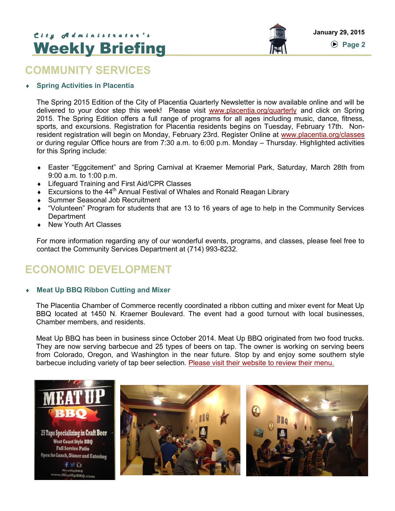# **January 29, 2015** *C i t y A d m i n i s t r a t o r ' s*  Weekly Briefing

### **COMMUNITY SERVICES**

### **Spring Activities in Placentia**

The Spring 2015 Edition of the City of Placentia Quarterly Newsletter is now available online and will be delivered to your door step this week! Please visit [www.placentia.org/quarterly](http://www.placentia.org/quarterly) and click on Spring 2015. The Spring Edition offers a full range of programs for all ages including music, dance, fitness, sports, and excursions. Registration for Placentia residents begins on Tuesday, February 17th. Nonresident registration will begin on Monday, February 23rd. Register Online at [www.placentia.org/classes](http://www.placentia.org/classes) or during regular Office hours are from 7:30 a.m. to 6:00 p.m. Monday – Thursday. Highlighted activities for this Spring include:

- Easter "Eggcitement" and Spring Carnival at Kraemer Memorial Park, Saturday, March 28th from 9:00 a.m. to 1:00 p.m.
- ◆ Lifeguard Training and First Aid/CPR Classes
- Excursions to the  $44<sup>th</sup>$  Annual Festival of Whales and Ronald Reagan Library
- Summer Seasonal Job Recruitment
- "Volunteen" Program for students that are 13 to 16 years of age to help in the Community Services **Department**
- ◆ New Youth Art Classes

For more information regarding any of our wonderful events, programs, and classes, please feel free to contact the Community Services Department at (714) 993-8232.

## **ECONOMIC DEVELOPMENT**

### **Meat Up BBQ Ribbon Cutting and Mixer**

The Placentia Chamber of Commerce recently coordinated a ribbon cutting and mixer event for Meat Up BBQ located at 1450 N. Kraemer Boulevard. The event had a good turnout with local businesses, Chamber members, and residents.

Meat Up BBQ has been in business since October 2014. Meat Up BBQ originated from two food trucks. They are now serving barbecue and 25 types of beers on tap. The owner is working on serving beers from Colorado, Oregon, and Washington in the near future. Stop by and enjoy some southern style barbecue including variety of tap beer selection. [Please visit their website to review their menu.](http://www.meatupbbq.com/)

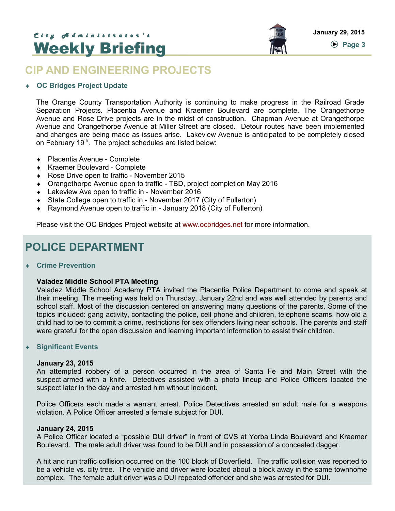# **January 29, 2015** *C i t y A d m i n i s t r a t o r ' s*  Weekly Briefing



### **CIP AND ENGINEERING PROJECTS**

### **OC Bridges Project Update**

The Orange County Transportation Authority is continuing to make progress in the Railroad Grade Separation Projects. Placentia Avenue and Kraemer Boulevard are complete. The Orangethorpe Avenue and Rose Drive projects are in the midst of construction. Chapman Avenue at Orangethorpe Avenue and Orangethorpe Avenue at Miller Street are closed. Detour routes have been implemented and changes are being made as issues arise. Lakeview Avenue is anticipated to be completely closed on February 19<sup>th</sup>. The project schedules are listed below:

- Placentia Avenue Complete
- Kraemer Boulevard Complete
- ◆ Rose Drive open to traffic November 2015
- Orangethorpe Avenue open to traffic TBD, project completion May 2016
- ◆ Lakeview Ave open to traffic in November 2016
- State College open to traffic in November 2017 (City of Fullerton)
- Raymond Avenue open to traffic in January 2018 (City of Fullerton)

Please visit the OC Bridges Project website at [www.ocbridges.net](http://www.octa.net/Freeways-and-Streets/Streets/OC-Bridges/Project-Overview/) for more information.

### **POLICE DEPARTMENT**

**Crime Prevention**

### **Valadez Middle School PTA Meeting**

Valadez Middle School Academy PTA invited the Placentia Police Department to come and speak at their meeting. The meeting was held on Thursday, January 22nd and was well attended by parents and school staff. Most of the discussion centered on answering many questions of the parents. Some of the topics included: gang activity, contacting the police, cell phone and children, telephone scams, how old a child had to be to commit a crime, restrictions for sex offenders living near schools. The parents and staff were grateful for the open discussion and learning important information to assist their children.

### **Significant Events**

#### **January 23, 2015**

An attempted robbery of a person occurred in the area of Santa Fe and Main Street with the suspect armed with a knife. Detectives assisted with a photo lineup and Police Officers located the suspect later in the day and arrested him without incident.

Police Officers each made a warrant arrest. Police Detectives arrested an adult male for a weapons violation. A Police Officer arrested a female subject for DUI.

#### **January 24, 2015**

A Police Officer located a "possible DUI driver" in front of CVS at Yorba Linda Boulevard and Kraemer Boulevard. The male adult driver was found to be DUI and in possession of a concealed dagger.

A hit and run traffic collision occurred on the 100 block of Doverfield. The traffic collision was reported to be a vehicle vs. city tree. The vehicle and driver were located about a block away in the same townhome complex. The female adult driver was a DUI repeated offender and she was arrested for DUI.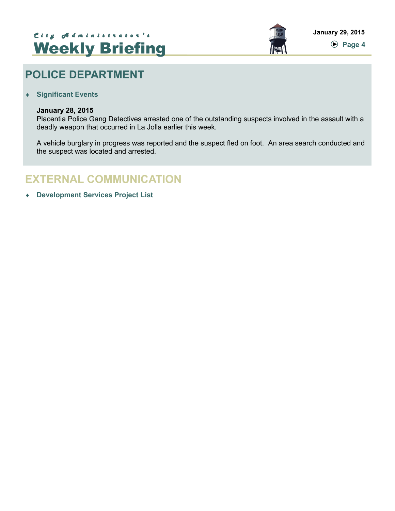# **January 29, 2015** *C i t y A d m i n i s t r a t o r ' s*  Weekly Briefing



## **POLICE DEPARTMENT**

**Significant Events**

#### **January 28, 2015**

Placentia Police Gang Detectives arrested one of the outstanding suspects involved in the assault with a deadly weapon that occurred in La Jolla earlier this week.

A vehicle burglary in progress was reported and the suspect fled on foot. An area search conducted and the suspect was located and arrested.

### **EXTERNAL COMMUNICATION**

**Development Services Project List**